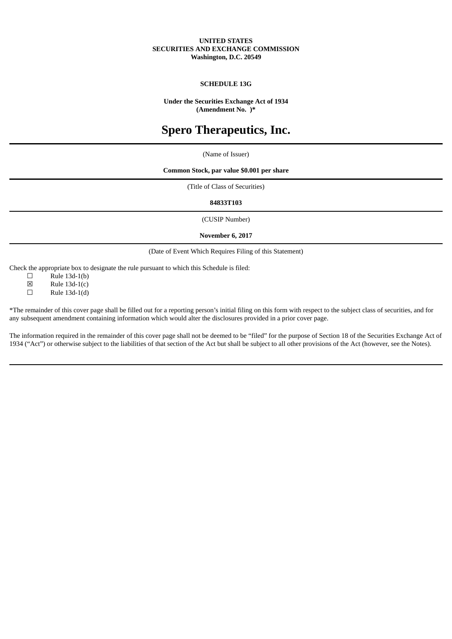# **UNITED STATES SECURITIES AND EXCHANGE COMMISSION Washington, D.C. 20549**

# **SCHEDULE 13G**

**Under the Securities Exchange Act of 1934 (Amendment No. )\***

# **Spero Therapeutics, Inc.**

(Name of Issuer)

# **Common Stock, par value \$0.001 per share**

(Title of Class of Securities)

# **84833T103**

(CUSIP Number)

**November 6, 2017**

(Date of Event Which Requires Filing of this Statement)

Check the appropriate box to designate the rule pursuant to which this Schedule is filed:

 $\square$  Rule 13d-1(b)

 $\boxtimes$  Rule 13d-1(c)<br>  $\Box$  Rule 13d-1(d)

Rule 13d-1(d)

\*The remainder of this cover page shall be filled out for a reporting person's initial filing on this form with respect to the subject class of securities, and for any subsequent amendment containing information which would alter the disclosures provided in a prior cover page.

The information required in the remainder of this cover page shall not be deemed to be "filed" for the purpose of Section 18 of the Securities Exchange Act of 1934 ("Act") or otherwise subject to the liabilities of that section of the Act but shall be subject to all other provisions of the Act (however, see the Notes).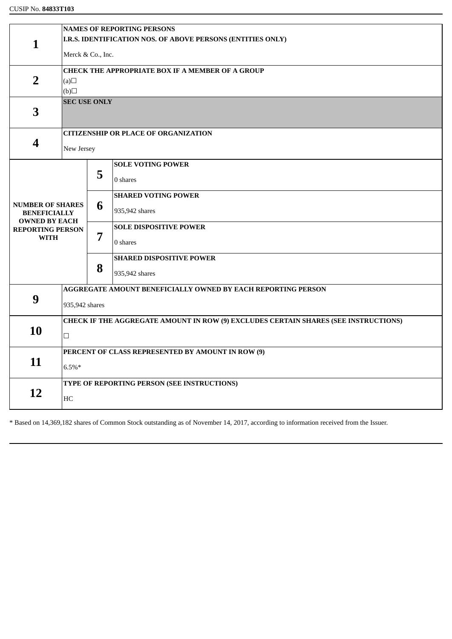|                                                                        | <b>NAMES OF REPORTING PERSONS</b>                                                   |   |                                 |  |  |  |  |
|------------------------------------------------------------------------|-------------------------------------------------------------------------------------|---|---------------------------------|--|--|--|--|
| $\mathbf{1}$                                                           | I.R.S. IDENTIFICATION NOS. OF ABOVE PERSONS (ENTITIES ONLY)                         |   |                                 |  |  |  |  |
|                                                                        | Merck & Co., Inc.                                                                   |   |                                 |  |  |  |  |
|                                                                        | <b>CHECK THE APPROPRIATE BOX IF A MEMBER OF A GROUP</b>                             |   |                                 |  |  |  |  |
| $\overline{2}$                                                         | (a)                                                                                 |   |                                 |  |  |  |  |
|                                                                        | $\Box$ (d)                                                                          |   |                                 |  |  |  |  |
| 3                                                                      | <b>SEC USE ONLY</b>                                                                 |   |                                 |  |  |  |  |
|                                                                        |                                                                                     |   |                                 |  |  |  |  |
| $\boldsymbol{4}$                                                       | <b>CITIZENSHIP OR PLACE OF ORGANIZATION</b>                                         |   |                                 |  |  |  |  |
|                                                                        | New Jersey                                                                          |   |                                 |  |  |  |  |
|                                                                        |                                                                                     |   | <b>SOLE VOTING POWER</b>        |  |  |  |  |
|                                                                        |                                                                                     | 5 | 0 shares                        |  |  |  |  |
|                                                                        |                                                                                     | 6 | <b>SHARED VOTING POWER</b>      |  |  |  |  |
| <b>NUMBER OF SHARES</b><br><b>BENEFICIALLY</b><br><b>OWNED BY EACH</b> |                                                                                     |   | 935,942 shares                  |  |  |  |  |
| <b>REPORTING PERSON</b>                                                |                                                                                     | 7 | <b>SOLE DISPOSITIVE POWER</b>   |  |  |  |  |
| WITH                                                                   |                                                                                     |   | 0 shares                        |  |  |  |  |
|                                                                        |                                                                                     |   | <b>SHARED DISPOSITIVE POWER</b> |  |  |  |  |
|                                                                        |                                                                                     | 8 | 935,942 shares                  |  |  |  |  |
| 9                                                                      | AGGREGATE AMOUNT BENEFICIALLY OWNED BY EACH REPORTING PERSON                        |   |                                 |  |  |  |  |
|                                                                        | 935,942 shares                                                                      |   |                                 |  |  |  |  |
|                                                                        | CHECK IF THE AGGREGATE AMOUNT IN ROW (9) EXCLUDES CERTAIN SHARES (SEE INSTRUCTIONS) |   |                                 |  |  |  |  |
| 10                                                                     |                                                                                     |   |                                 |  |  |  |  |
|                                                                        | PERCENT OF CLASS REPRESENTED BY AMOUNT IN ROW (9)                                   |   |                                 |  |  |  |  |
| 11                                                                     | $6.5\%*$                                                                            |   |                                 |  |  |  |  |
|                                                                        | TYPE OF REPORTING PERSON (SEE INSTRUCTIONS)                                         |   |                                 |  |  |  |  |
| 12                                                                     | HC                                                                                  |   |                                 |  |  |  |  |

\* Based on 14,369,182 shares of Common Stock outstanding as of November 14, 2017, according to information received from the Issuer.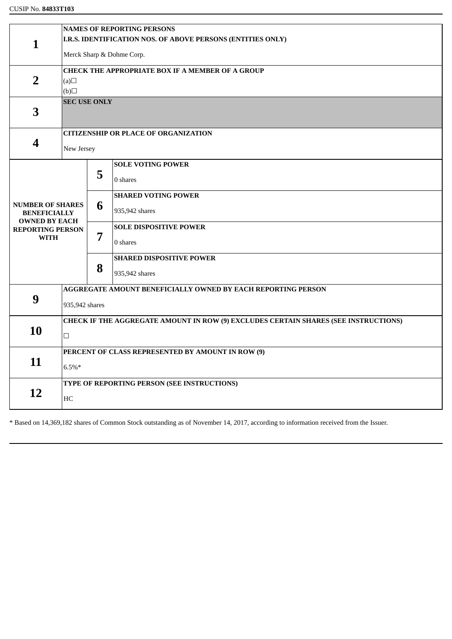|                                                | <b>NAMES OF REPORTING PERSONS</b>                                                   |                                                              |                                 |  |  |  |  |
|------------------------------------------------|-------------------------------------------------------------------------------------|--------------------------------------------------------------|---------------------------------|--|--|--|--|
| $\mathbf{1}$                                   | I.R.S. IDENTIFICATION NOS. OF ABOVE PERSONS (ENTITIES ONLY)                         |                                                              |                                 |  |  |  |  |
|                                                | Merck Sharp & Dohme Corp.                                                           |                                                              |                                 |  |  |  |  |
|                                                | <b>CHECK THE APPROPRIATE BOX IF A MEMBER OF A GROUP</b>                             |                                                              |                                 |  |  |  |  |
| $\overline{2}$                                 | (a)                                                                                 |                                                              |                                 |  |  |  |  |
|                                                | $\Box$ (d)                                                                          |                                                              |                                 |  |  |  |  |
|                                                | <b>SEC USE ONLY</b>                                                                 |                                                              |                                 |  |  |  |  |
| 3                                              |                                                                                     |                                                              |                                 |  |  |  |  |
|                                                | <b>CITIZENSHIP OR PLACE OF ORGANIZATION</b>                                         |                                                              |                                 |  |  |  |  |
| 4                                              | New Jersey                                                                          |                                                              |                                 |  |  |  |  |
|                                                |                                                                                     |                                                              |                                 |  |  |  |  |
|                                                |                                                                                     | 5                                                            | <b>SOLE VOTING POWER</b>        |  |  |  |  |
|                                                |                                                                                     |                                                              | 0 shares                        |  |  |  |  |
|                                                |                                                                                     |                                                              | <b>SHARED VOTING POWER</b>      |  |  |  |  |
| <b>NUMBER OF SHARES</b><br><b>BENEFICIALLY</b> |                                                                                     | 6                                                            | 935,942 shares                  |  |  |  |  |
| <b>OWNED BY EACH</b>                           |                                                                                     |                                                              |                                 |  |  |  |  |
| <b>REPORTING PERSON</b><br><b>WITH</b>         |                                                                                     | 7                                                            | <b>SOLE DISPOSITIVE POWER</b>   |  |  |  |  |
|                                                |                                                                                     |                                                              | 0 shares                        |  |  |  |  |
|                                                |                                                                                     |                                                              | <b>SHARED DISPOSITIVE POWER</b> |  |  |  |  |
|                                                |                                                                                     | 8                                                            | 935,942 shares                  |  |  |  |  |
|                                                |                                                                                     | AGGREGATE AMOUNT BENEFICIALLY OWNED BY EACH REPORTING PERSON |                                 |  |  |  |  |
| 9                                              |                                                                                     |                                                              |                                 |  |  |  |  |
|                                                | 935,942 shares                                                                      |                                                              |                                 |  |  |  |  |
| 10                                             | CHECK IF THE AGGREGATE AMOUNT IN ROW (9) EXCLUDES CERTAIN SHARES (SEE INSTRUCTIONS) |                                                              |                                 |  |  |  |  |
|                                                | $\Box$                                                                              |                                                              |                                 |  |  |  |  |
|                                                | PERCENT OF CLASS REPRESENTED BY AMOUNT IN ROW (9)                                   |                                                              |                                 |  |  |  |  |
| 11                                             | $6.5\%*$                                                                            |                                                              |                                 |  |  |  |  |
|                                                |                                                                                     |                                                              |                                 |  |  |  |  |
| 12                                             | TYPE OF REPORTING PERSON (SEE INSTRUCTIONS)                                         |                                                              |                                 |  |  |  |  |
|                                                | HC                                                                                  |                                                              |                                 |  |  |  |  |

\* Based on 14,369,182 shares of Common Stock outstanding as of November 14, 2017, according to information received from the Issuer.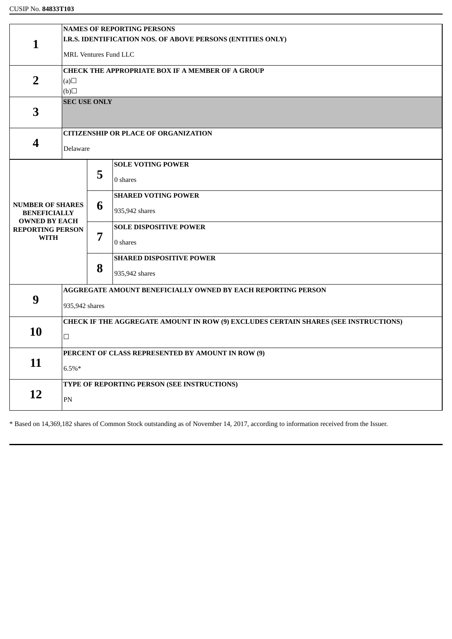|                                             | <b>NAMES OF REPORTING PERSONS</b>                                                   |                                                   |                                 |  |  |  |  |
|---------------------------------------------|-------------------------------------------------------------------------------------|---------------------------------------------------|---------------------------------|--|--|--|--|
| $\mathbf{1}$                                | I.R.S. IDENTIFICATION NOS. OF ABOVE PERSONS (ENTITIES ONLY)                         |                                                   |                                 |  |  |  |  |
|                                             |                                                                                     |                                                   |                                 |  |  |  |  |
|                                             | <b>MRL Ventures Fund LLC</b>                                                        |                                                   |                                 |  |  |  |  |
|                                             | <b>CHECK THE APPROPRIATE BOX IF A MEMBER OF A GROUP</b>                             |                                                   |                                 |  |  |  |  |
| $\overline{2}$                              | (a)                                                                                 |                                                   |                                 |  |  |  |  |
|                                             | $\Box$ (d)                                                                          |                                                   |                                 |  |  |  |  |
|                                             | <b>SEC USE ONLY</b>                                                                 |                                                   |                                 |  |  |  |  |
| 3                                           |                                                                                     |                                                   |                                 |  |  |  |  |
|                                             |                                                                                     |                                                   |                                 |  |  |  |  |
|                                             | <b>CITIZENSHIP OR PLACE OF ORGANIZATION</b>                                         |                                                   |                                 |  |  |  |  |
| 4                                           |                                                                                     |                                                   |                                 |  |  |  |  |
|                                             | Delaware                                                                            |                                                   |                                 |  |  |  |  |
|                                             |                                                                                     |                                                   | <b>SOLE VOTING POWER</b>        |  |  |  |  |
|                                             |                                                                                     | 5                                                 |                                 |  |  |  |  |
|                                             |                                                                                     |                                                   | 0 shares                        |  |  |  |  |
|                                             |                                                                                     |                                                   | <b>SHARED VOTING POWER</b>      |  |  |  |  |
| <b>NUMBER OF SHARES</b>                     |                                                                                     | 6                                                 | 935,942 shares                  |  |  |  |  |
| <b>BENEFICIALLY</b><br><b>OWNED BY EACH</b> |                                                                                     |                                                   |                                 |  |  |  |  |
| <b>REPORTING PERSON</b>                     |                                                                                     | 7                                                 | <b>SOLE DISPOSITIVE POWER</b>   |  |  |  |  |
| <b>WITH</b>                                 |                                                                                     |                                                   | 0 shares                        |  |  |  |  |
|                                             |                                                                                     |                                                   |                                 |  |  |  |  |
|                                             |                                                                                     | 8                                                 | <b>SHARED DISPOSITIVE POWER</b> |  |  |  |  |
|                                             |                                                                                     |                                                   | 935,942 shares                  |  |  |  |  |
|                                             |                                                                                     |                                                   |                                 |  |  |  |  |
|                                             | <b>AGGREGATE AMOUNT BENEFICIALLY OWNED BY EACH REPORTING PERSON</b>                 |                                                   |                                 |  |  |  |  |
| 9                                           | 935,942 shares                                                                      |                                                   |                                 |  |  |  |  |
|                                             |                                                                                     |                                                   |                                 |  |  |  |  |
|                                             | CHECK IF THE AGGREGATE AMOUNT IN ROW (9) EXCLUDES CERTAIN SHARES (SEE INSTRUCTIONS) |                                                   |                                 |  |  |  |  |
| 10                                          | $\Box$                                                                              |                                                   |                                 |  |  |  |  |
|                                             |                                                                                     |                                                   |                                 |  |  |  |  |
| 11                                          |                                                                                     | PERCENT OF CLASS REPRESENTED BY AMOUNT IN ROW (9) |                                 |  |  |  |  |
|                                             | $6.5\%*$                                                                            |                                                   |                                 |  |  |  |  |
|                                             |                                                                                     |                                                   |                                 |  |  |  |  |
| 12                                          | TYPE OF REPORTING PERSON (SEE INSTRUCTIONS)                                         |                                                   |                                 |  |  |  |  |
|                                             | PN                                                                                  |                                                   |                                 |  |  |  |  |
|                                             |                                                                                     |                                                   |                                 |  |  |  |  |

\* Based on 14,369,182 shares of Common Stock outstanding as of November 14, 2017, according to information received from the Issuer.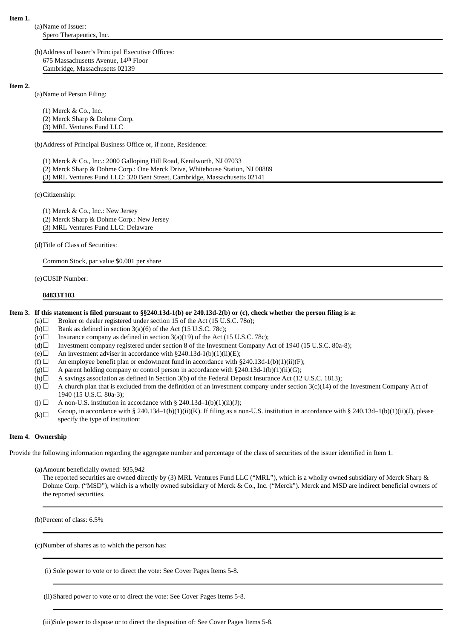(a)Name of Issuer: Spero Therapeutics, Inc.

(b)Address of Issuer's Principal Executive Offices: 675 Massachusetts Avenue, 14th Floor Cambridge, Massachusetts 02139

## **Item 2.**

(a)Name of Person Filing:

(1) Merck & Co., Inc. (2) Merck Sharp & Dohme Corp. (3) MRL Ventures Fund LLC

(b)Address of Principal Business Office or, if none, Residence:

- (1) Merck & Co., Inc.: 2000 Galloping Hill Road, Kenilworth, NJ 07033
- (2) Merck Sharp & Dohme Corp.: One Merck Drive, Whitehouse Station, NJ 08889
- (3) MRL Ventures Fund LLC: 320 Bent Street, Cambridge, Massachusetts 02141

(c)Citizenship:

(1) Merck & Co., Inc.: New Jersey (2) Merck Sharp & Dohme Corp.: New Jersey (3) MRL Ventures Fund LLC: Delaware

(d)Title of Class of Securities:

Common Stock, par value \$0.001 per share

(e)CUSIP Number:

**84833T103**

## Item 3. If this statement is filed pursuant to §§240.13d-1(b) or 240.13d-2(b) or (c), check whether the person filing is a:

- (a) $\Box$  Broker or dealer registered under section 15 of the Act (15 U.S.C. 780);
- (b) $\Box$  Bank as defined in section 3(a)(6) of the Act (15 U.S.C. 78c);
- (c) $\Box$  Insurance company as defined in section 3(a)(19) of the Act (15 U.S.C. 78c);
- (d) $\Box$  Investment company registered under section 8 of the Investment Company Act of 1940 (15 U.S.C. 80a-8);
- (e) $\Box$  An investment adviser in accordance with §240.13d-1(b)(1)(ii)(E);
- (f)  $\Box$  An employee benefit plan or endowment fund in accordance with §240.13d-1(b)(1)(ii)(F);
- $(g)$  A parent holding company or control person in accordance with §240.13d-1(b)(1)(ii)(G);
- (h) $\Box$  A savings association as defined in Section 3(b) of the Federal Deposit Insurance Act (12 U.S.C. 1813);
- (i)  $\Box$  A church plan that is excluded from the definition of an investment company under section 3(c)(14) of the Investment Company Act of 1940 (15 U.S.C. 80a-3);
- (j)  $\Box$  A non-U.S. institution in accordance with § 240.13d–1(b)(1)(ii)(J);
- $(k)$ Group, in accordance with § 240.13d–1(b)(1)(ii)(K). If filing as a non-U.S. institution in accordance with § 240.13d–1(b)(1)(ii)(J), please specify the type of institution:

## **Item 4. Ownership**

Provide the following information regarding the aggregate number and percentage of the class of securities of the issuer identified in Item 1.

(a)Amount beneficially owned: 935,942

The reported securities are owned directly by (3) MRL Ventures Fund LLC ("MRL"), which is a wholly owned subsidiary of Merck Sharp & Dohme Corp. ("MSD"), which is a wholly owned subsidiary of Merck & Co., Inc. ("Merck"). Merck and MSD are indirect beneficial owners of the reported securities.

(b)Percent of class: 6.5%

(c)Number of shares as to which the person has:

(i) Sole power to vote or to direct the vote: See Cover Pages Items 5-8.

(ii) Shared power to vote or to direct the vote: See Cover Pages Items 5-8.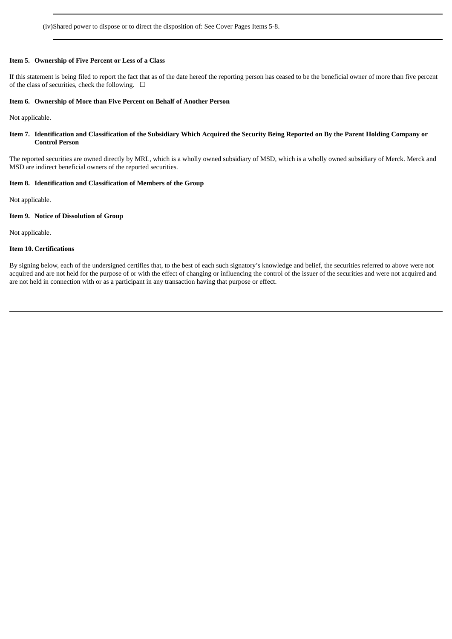(iv)Shared power to dispose or to direct the disposition of: See Cover Pages Items 5-8.

# **Item 5. Ownership of Five Percent or Less of a Class**

If this statement is being filed to report the fact that as of the date hereof the reporting person has ceased to be the beneficial owner of more than five percent of the class of securities, check the following.  $\Box$ 

#### **Item 6. Ownership of More than Five Percent on Behalf of Another Person**

Not applicable.

# Item 7. Identification and Classification of the Subsidiary Which Acquired the Security Being Reported on By the Parent Holding Company or **Control Person**

The reported securities are owned directly by MRL, which is a wholly owned subsidiary of MSD, which is a wholly owned subsidiary of Merck. Merck and MSD are indirect beneficial owners of the reported securities.

# **Item 8. Identification and Classification of Members of the Group**

Not applicable.

# **Item 9. Notice of Dissolution of Group**

Not applicable.

## **Item 10. Certifications**

By signing below, each of the undersigned certifies that, to the best of each such signatory's knowledge and belief, the securities referred to above were not acquired and are not held for the purpose of or with the effect of changing or influencing the control of the issuer of the securities and were not acquired and are not held in connection with or as a participant in any transaction having that purpose or effect.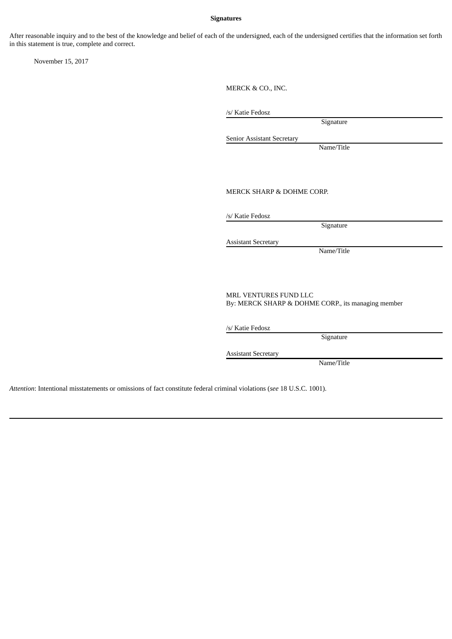# **Signatures**

After reasonable inquiry and to the best of the knowledge and belief of each of the undersigned, each of the undersigned certifies that the information set forth in this statement is true, complete and correct.

November 15, 2017

MERCK & CO., INC.

/s/ Katie Fedosz

Signature

Senior Assistant Secretary

Name/Title

MERCK SHARP & DOHME CORP.

/s/ Katie Fedosz

Signature

Assistant Secretary

Name/Title

MRL VENTURES FUND LLC By: MERCK SHARP & DOHME CORP., its managing member

/s/ Katie Fedosz

**Signature** 

Assistant Secretary

Name/Title

*Attention*: Intentional misstatements or omissions of fact constitute federal criminal violations (*see* 18 U.S.C. 1001).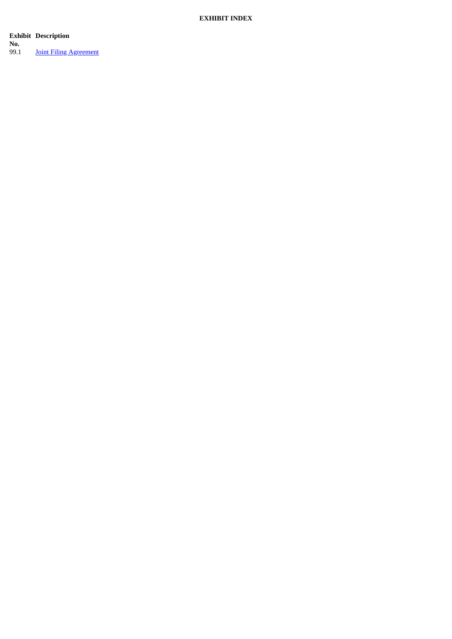# **EXHIBIT INDEX**

**Exhibit Description** 

**N o .**

9 9.1 **Joint Filing Agreement**